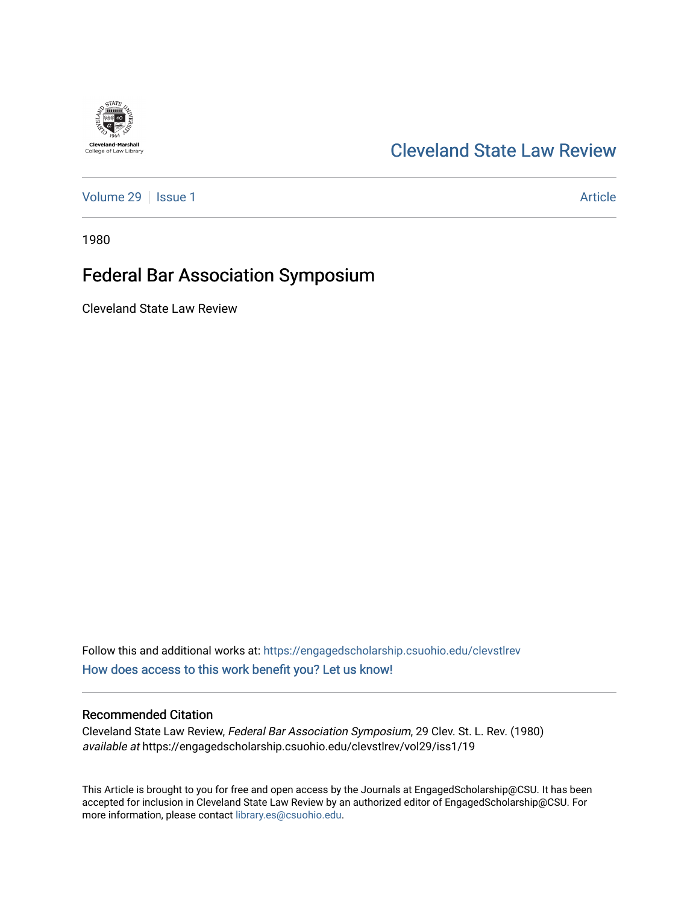# **Cleveland-Marshall**<br>College of Law Library

### [Cleveland State Law Review](https://engagedscholarship.csuohio.edu/clevstlrev)

[Volume 29](https://engagedscholarship.csuohio.edu/clevstlrev/vol29) | [Issue 1](https://engagedscholarship.csuohio.edu/clevstlrev/vol29/iss1) Article

1980

# Federal Bar Association Symposium

Cleveland State Law Review

Follow this and additional works at: [https://engagedscholarship.csuohio.edu/clevstlrev](https://engagedscholarship.csuohio.edu/clevstlrev?utm_source=engagedscholarship.csuohio.edu%2Fclevstlrev%2Fvol29%2Fiss1%2F19&utm_medium=PDF&utm_campaign=PDFCoverPages) [How does access to this work benefit you? Let us know!](http://library.csuohio.edu/engaged/)

#### Recommended Citation

Cleveland State Law Review, Federal Bar Association Symposium, 29 Clev. St. L. Rev. (1980) available at https://engagedscholarship.csuohio.edu/clevstlrev/vol29/iss1/19

This Article is brought to you for free and open access by the Journals at EngagedScholarship@CSU. It has been accepted for inclusion in Cleveland State Law Review by an authorized editor of EngagedScholarship@CSU. For more information, please contact [library.es@csuohio.edu](mailto:library.es@csuohio.edu).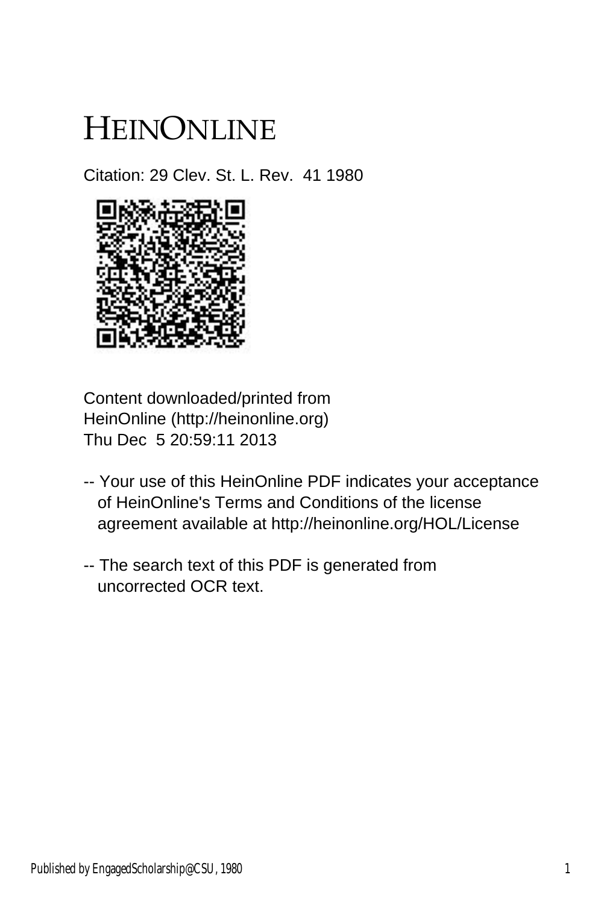# HEINONLINE

Citation: 29 Clev. St. L. Rev. 41 1980



Content downloaded/printed from HeinOnline (http://heinonline.org) Thu Dec 5 20:59:11 2013

- -- Your use of this HeinOnline PDF indicates your acceptance of HeinOnline's Terms and Conditions of the license agreement available at http://heinonline.org/HOL/License
- -- The search text of this PDF is generated from uncorrected OCR text.